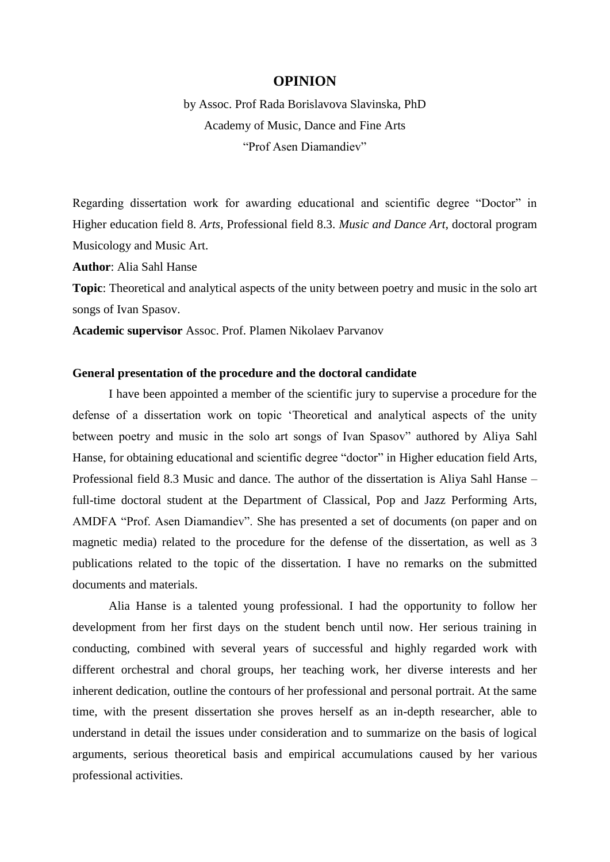## **OPINION**

by Assoc. Prof Rada Borislavova Slavinska, PhD Academy of Music, Dance and Fine Arts "Prof Asen Diamandiev"

Regarding dissertation work for awarding educational and scientific degree "Doctor" in Higher education field 8. *Arts*, Professional field 8.3. *Music and Dance Art*, doctoral program Musicology and Music Art.

**Author**: Alia Sahl Hanse

**Topic**: Theoretical and analytical aspects of the unity between poetry and music in the solo art songs of Ivan Spasov.

**Academic supervisor** Assoc. Prof. Plamen Nikolaev Parvanov

### **General presentation of the procedure and the doctoral candidate**

I have been appointed a member of the scientific jury to supervise a procedure for the defense of a dissertation work on topic "Theoretical and analytical aspects of the unity between poetry and music in the solo art songs of Ivan Spasov" authored by Aliya Sahl Hanse, for obtaining educational and scientific degree "doctor" in Higher education field Arts, Professional field 8.3 Music and dance. The author of the dissertation is Aliya Sahl Hanse – full-time doctoral student at the Department of Classical, Pop and Jazz Performing Arts, AMDFA "Prof. Asen Diamandiev". She has presented a set of documents (on paper and on magnetic media) related to the procedure for the defense of the dissertation, as well as 3 publications related to the topic of the dissertation. I have no remarks on the submitted documents and materials.

Alia Hanse is a talented young professional. I had the opportunity to follow her development from her first days on the student bench until now. Her serious training in conducting, combined with several years of successful and highly regarded work with different orchestral and choral groups, her teaching work, her diverse interests and her inherent dedication, outline the contours of her professional and personal portrait. At the same time, with the present dissertation she proves herself as an in-depth researcher, able to understand in detail the issues under consideration and to summarize on the basis of logical arguments, serious theoretical basis and empirical accumulations caused by her various professional activities.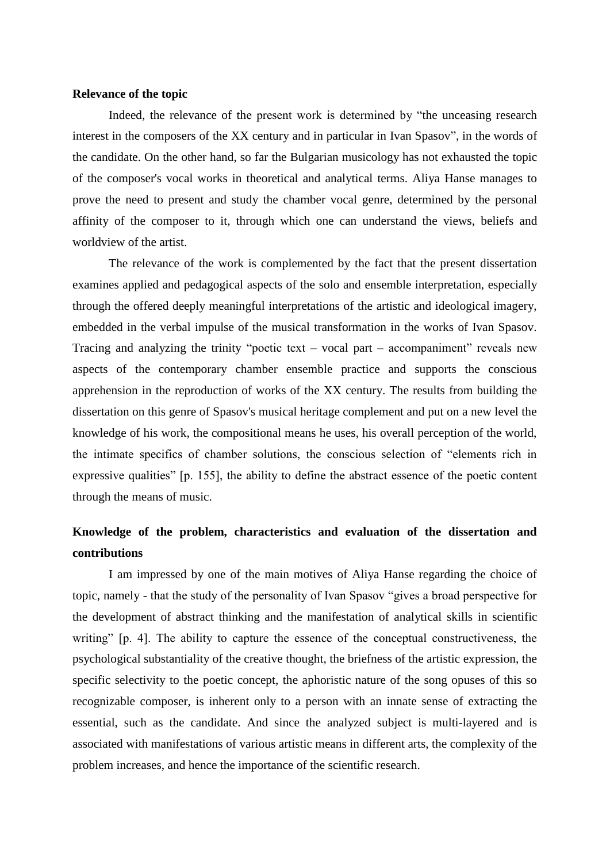### **Relevance of the topic**

Indeed, the relevance of the present work is determined by "the unceasing research interest in the composers of the XX century and in particular in Ivan Spasov", in the words of the candidate. On the other hand, so far the Bulgarian musicology has not exhausted the topic of the composer's vocal works in theoretical and analytical terms. Aliya Hanse manages to prove the need to present and study the chamber vocal genre, determined by the personal affinity of the composer to it, through which one can understand the views, beliefs and worldview of the artist.

The relevance of the work is complemented by the fact that the present dissertation examines applied and pedagogical aspects of the solo and ensemble interpretation, especially through the offered deeply meaningful interpretations of the artistic and ideological imagery, embedded in the verbal impulse of the musical transformation in the works of Ivan Spasov. Tracing and analyzing the trinity "poetic text – vocal part – accompaniment" reveals new aspects of the contemporary chamber ensemble practice and supports the conscious apprehension in the reproduction of works of the XX century. The results from building the dissertation on this genre of Spasov's musical heritage complement and put on a new level the knowledge of his work, the compositional means he uses, his overall perception of the world, the intimate specifics of chamber solutions, the conscious selection of "elements rich in expressive qualities" [p. 155], the ability to define the abstract essence of the poetic content through the means of music.

# **Knowledge of the problem, characteristics and evaluation of the dissertation and contributions**

I am impressed by one of the main motives of Aliya Hanse regarding the choice of topic, namely - that the study of the personality of Ivan Spasov "gives a broad perspective for the development of abstract thinking and the manifestation of analytical skills in scientific writing" [p. 4]. The ability to capture the essence of the conceptual constructiveness, the psychological substantiality of the creative thought, the briefness of the artistic expression, the specific selectivity to the poetic concept, the aphoristic nature of the song opuses of this so recognizable composer, is inherent only to a person with an innate sense of extracting the essential, such as the candidate. And since the analyzed subject is multi-layered and is associated with manifestations of various artistic means in different arts, the complexity of the problem increases, and hence the importance of the scientific research.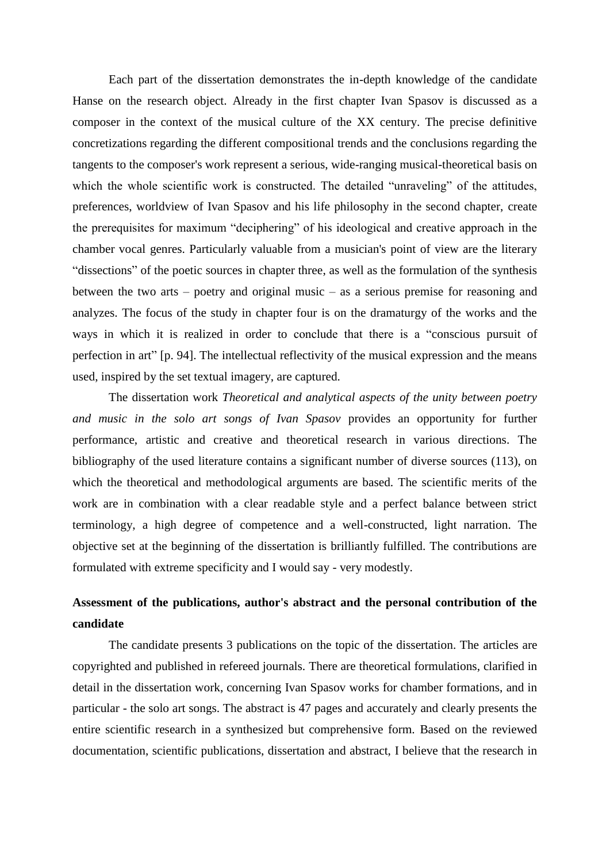Each part of the dissertation demonstrates the in-depth knowledge of the candidate Hanse on the research object. Already in the first chapter Ivan Spasov is discussed as a composer in the context of the musical culture of the XX century. The precise definitive concretizations regarding the different compositional trends and the conclusions regarding the tangents to the composer's work represent a serious, wide-ranging musical-theoretical basis on which the whole scientific work is constructed. The detailed "unraveling" of the attitudes, preferences, worldview of Ivan Spasov and his life philosophy in the second chapter, create the prerequisites for maximum "deciphering" of his ideological and creative approach in the chamber vocal genres. Particularly valuable from a musician's point of view are the literary "dissections" of the poetic sources in chapter three, as well as the formulation of the synthesis between the two arts – poetry and original music – as a serious premise for reasoning and analyzes. The focus of the study in chapter four is on the dramaturgy of the works and the ways in which it is realized in order to conclude that there is a "conscious pursuit of perfection in art" [p. 94]. The intellectual reflectivity of the musical expression and the means used, inspired by the set textual imagery, are captured.

The dissertation work *Theoretical and analytical aspects of the unity between poetry and music in the solo art songs of Ivan Spasov* provides an opportunity for further performance, artistic and creative and theoretical research in various directions. The bibliography of the used literature contains a significant number of diverse sources (113), on which the theoretical and methodological arguments are based. The scientific merits of the work are in combination with a clear readable style and a perfect balance between strict terminology, a high degree of competence and a well-constructed, light narration. The objective set at the beginning of the dissertation is brilliantly fulfilled. The contributions are formulated with extreme specificity and I would say - very modestly.

## **Assessment of the publications, author's abstract and the personal contribution of the candidate**

The candidate presents 3 publications on the topic of the dissertation. The articles are copyrighted and published in refereed journals. There are theoretical formulations, clarified in detail in the dissertation work, concerning Ivan Spasov works for chamber formations, and in particular - the solo art songs. The abstract is 47 pages and accurately and clearly presents the entire scientific research in a synthesized but comprehensive form. Based on the reviewed documentation, scientific publications, dissertation and abstract, I believe that the research in